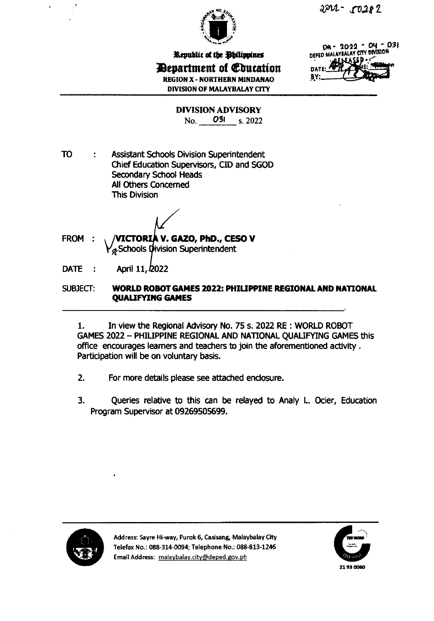

Republic of the Ohilippines *Devartment of Education* **REGION X - NORTHERN MINDANAO DIVISION OF MALAYBALAY CITY** 

DA-2022 - D4 - 031 DEPED MALAYBALAY CITY DIVISION **DA1** BY:

**DIVISION ADVISORY** No. 031 s. 2022

**TO Assistant Schools Division Superintendent** ÷ Chief Education Supervisors, CID and SGOD Secondary School Heads All Others Concerned **This Division** 

VICTORIA V. GAZO, PhD., CESO V FROM:  $\mathsf{Y}_{\mathscr{D}}$  Schools Division Superintendent

**DATE** April 11, 2022  $\sim$  1

#### SUBJECT: **WORLD ROBOT GAMES 2022: PHILIPPINE REGIONAL AND NATIONAL QUALIFYING GAMES**

 $1.$ In view the Regional Advisory No. 75 s. 2022 RE: WORLD ROBOT GAMES 2022 - PHILIPPINE REGIONAL AND NATIONAL QUALIFYING GAMES this office encourages learners and teachers to join the aforementioned activity. Participation will be on voluntary basis.

- $2.$ For more details please see attached enclosure.
- $3.$ Queries relative to this can be relayed to Analy L. Ocier, Education Program Supervisor at 09269505699.



Address: Sayre Hi-way, Purok 6, Casisang, Malaybalay City Telefax No.: 088-314-0094; Telephone No.: 088-813-1246 Email Address: malaybalay.city@deped.gov.ph

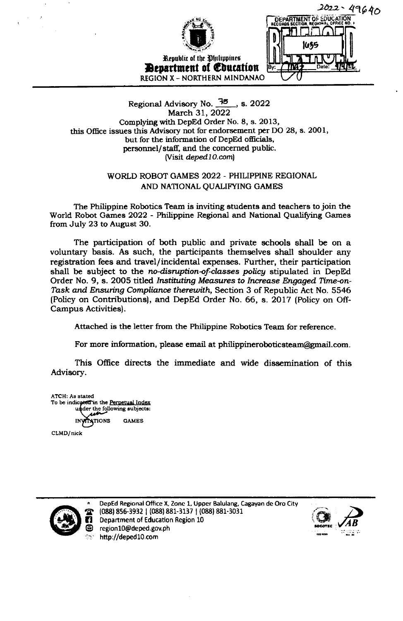|                                | $2022 - 49640$          |
|--------------------------------|-------------------------|
|                                | DEPARTMENT OF SOUCATION |
|                                |                         |
|                                | 1055                    |
| Republic of the Philippines    |                         |
| <b>Department of Education</b> | Date:<br>lBv:           |
| REGION X - NORTHERN MINDANAO   |                         |

#### Regional Advisory No. 35, s. 2022 March 31, 2022 Complying with DepEd Order No. 8, s. 2013, this Office issues this Advisory not for endorsement per DO 28, s. 2001, but for the information of DepEd officials, personnel/staff, and the concerned public. (Visit deped10.com)

#### WORLD ROBOT GAMES 2022 - PHILIPPINE REGIONAL AND NATIONAL OUALIFYING GAMES

The Philippine Robotics Team is inviting students and teachers to join the World Robot Games 2022 - Philippine Regional and National Qualifying Games from July 23 to August 30.

The participation of both public and private schools shall be on a voluntary basis. As such, the participants themselves shall shoulder any registration fees and travel/incidental expenses. Further, their participation shall be subject to the no-disruption-of-classes policy stipulated in DepEd Order No. 9, s. 2005 titled Instituting Measures to Increase Engaged Time-on-Task and Ensuring Compliance therewith, Section 3 of Republic Act No. 5546 (Policy on Contributions), and DepEd Order No. 66, s. 2017 (Policy on Off-Campus Activities).

Attached is the letter from the Philippine Robotics Team for reference.

For more information, please email at philippineroboticsteam@gmail.com.

This Office directs the immediate and wide dissemination of this Advisory.

ATCH: As stated To be indicated in the Perpetual Index der the following subjects: **ATIONS GAMES** 

CLMD/nick



DepEd Regional Office X, Zone 1, Upper Balulang, Cagayan de Oro City (088) 856-3932 | (088) 881-3137 | (088) 881-3031 Department of Education Region 10 region10@deped.gov.ph http://deped10.com

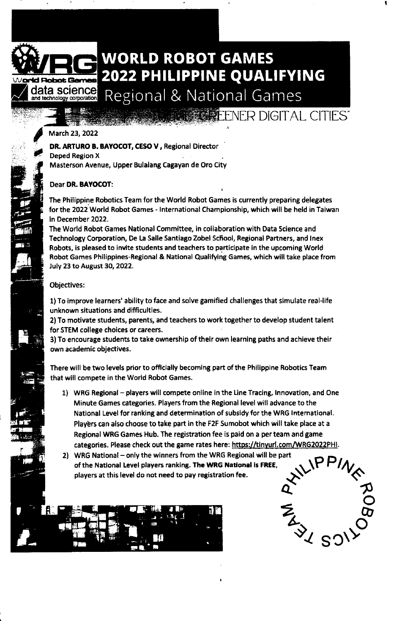### WORLD ROBOT GAMES 2022 PHILIPPINE QUALIFYING

ENER DIGITAL CITIES"

I

Regional & National Games

#### March 23, 2022

| 第 ○ 後

ld Flobot Ge

/

**e** t<br>C

al 3

ffi

 $!$  at  $\cdot$ 

'llta

1#"-

r:i-3

'' 'i;r ..

data science<br><sup>and technology corporation</sup>

OR. ARTURO B. BAYOCOT, CESO V, Regional Ditector

Deped Region X Masterson Avenue, Upper Bulalang Cagayan de Oro City

### Dear DR. BAYOCOT:

The Philippine Robotics Team for the World Robot Games is currently preparing delegates forthe 2022 World Robot Games - lnternational Championship, which will be held in Taiwan in December 2022.

The World Robot Games National Committee, in collaboration with Data Science and Technology Corporation, De La Salle Santiago Zobel School, Regional Partners, and Inex Robots, is pleased to invite students and teachers to participate in the upcoming World Robot Games Philippines-Regional & National Qualifying Games, which will take place from July 23 to August 30, 2022.

#### Objectives:

1) To improve learners' abillty to face and solve gamified challenges that simulate real-life unknown situations and difficulties.

2) To motivate students, parents, and teachers to work together to develop student talent for STEM college choices or careers.

3)To encourage students to take ownership oftheir own learning paths and achieve their own academic objectives.

There will be two levels prior to officially becoming part of the Philippine Robotics Team that will compete in the World Robot Games.

1) WRG Regional - players will compete online in the Line Tracing, Innovation, and One Minute Games categories. Players from the Regional level will advance to the National Level for ranking and determination of subsidy for the WRG lnternational. Players can also choose to take part in the F2F Sumobot which will take place at a Regional WRG Games Hub. The registration fee is paid on a per team and game categories. Please check out the game rates here: https://tinyurl.com/WRG2022PHI.

2) WRG National - only the winners from the WRG Regional will be part of the National Level players ranking. The WRG National is FREE, players at this level do not need to pay registration fee.



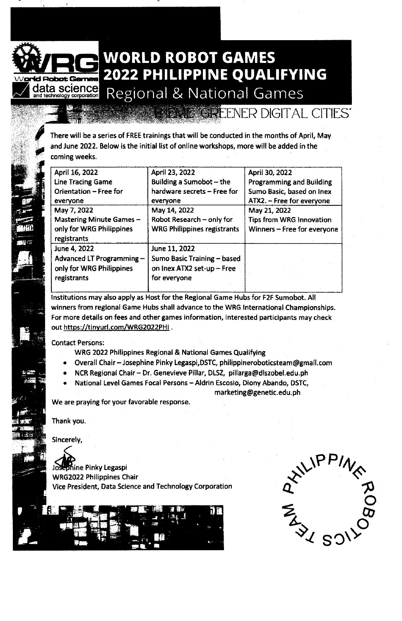

 $\overline{\phantom{a}}$ 

8F , الطريق $\mu$ 

**on**y is

 $\frac{1}{2}$ 

EF

i :i?J

 $\mu$  ,  $\alpha$ 

iifi

### WORLD ROBOT GAMES 2022 PHILIPPINE QUALIFYING

**NER DIGITAL CITIES** 

Regional & National Games

There will be a series of FREE trainings that will be conducted in the months of April, May and June 2022. Below is the initial list of online workshops, more will be added in the coming weeks.

| April 16, 2022           | April 23, 2022                     | April 30, 2022                  |
|--------------------------|------------------------------------|---------------------------------|
| <b>Line Tracing Game</b> | Building a Sumobot - the           | <b>Programming and Building</b> |
| Orientation - Free for   | hardware secrets - Free for        | Sumo Basic, based on Inex       |
| everyone                 | everyone                           | ATX2. - Free for everyone       |
| May 7, 2022              | May 14, 2022                       | May 21, 2022                    |
| Mastering Minute Games - | Robot Research - only for          | Tips from WRG Innovation        |
| only for WRG Philippines | <b>WRG Philippines registrants</b> | Winners - Free for everyone     |
| registrants              |                                    |                                 |
| June 4, 2022             | June 11, 2022                      |                                 |
| Advanced LT Programming- | Sumo Basic Training - based        |                                 |
| only for WRG Philippines | on lnex ATX2 set-up - Free         |                                 |
| registrants              | for everyone                       |                                 |
|                          |                                    |                                 |

lnstitutions rnay also apply as Host for the Regional Game Hubs for F2F Sumobot. All winners from regional Game Hubs shall advance to the WRG lnternational Championships For more details on fees and other games information, interested participants may check out https://tinyurl.com/WRG2022PHI.

Contact Persons:

- WRG 2022 Philippines Regional & National Games Qualifying
- Overall Chair-Josephine Pinky Legaspi,DSTC, philippineroboticsteam@gmail.com
- NCR Regional Chair Dr. Genevieve Pillar, DLSZ, pillarga@dlszobel.edu.ph
- National Level Games Focal Persons Aldrin Escosio, Diony Abando, DSTC, marketing@genetic.edu.ph

We are praying for your favorable response.

Thank you.

Sincerely,  $r \geqslant 0$ 

phine Pinky Legaspi WRG2022 Philippines Chair Vice President, Data Science and Technology Corporation WRG2022 Philippines Chair<br>Vice President, Data Science and Technology Corporation



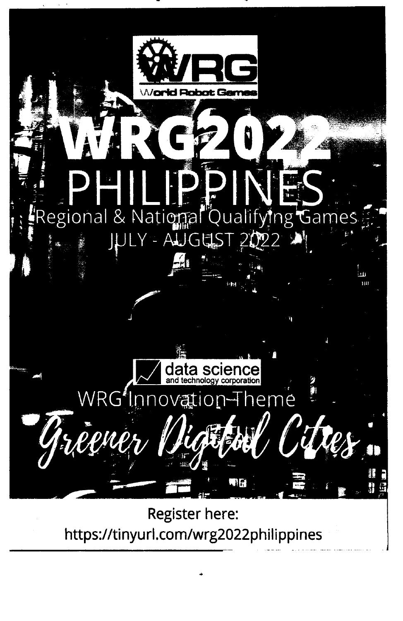

**Register here:** https://tinyurl.com/wrg2022philippines